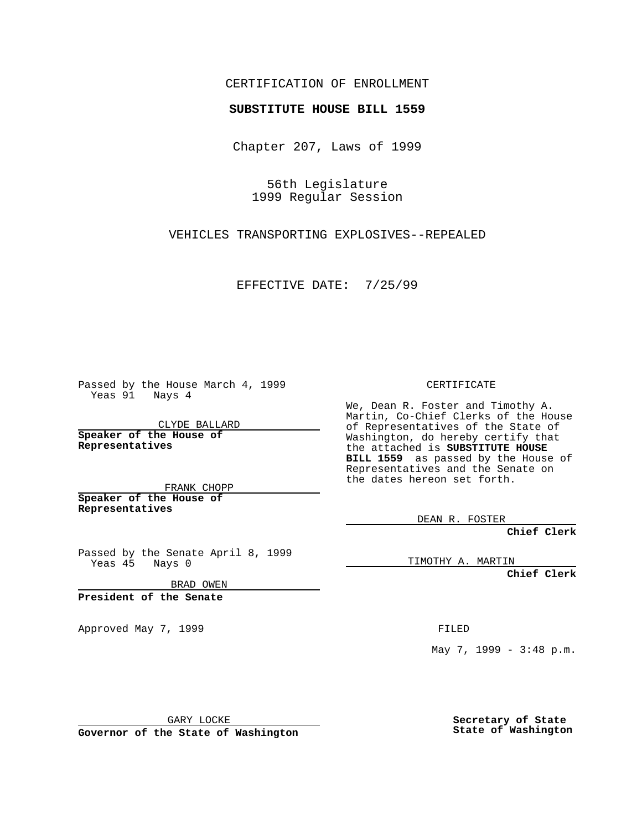## CERTIFICATION OF ENROLLMENT

## **SUBSTITUTE HOUSE BILL 1559**

Chapter 207, Laws of 1999

56th Legislature 1999 Regular Session

VEHICLES TRANSPORTING EXPLOSIVES--REPEALED

EFFECTIVE DATE: 7/25/99

Passed by the House March 4, 1999 Yeas 91 Nays 4

CLYDE BALLARD **Speaker of the House of Representatives**

FRANK CHOPP **Speaker of the House of Representatives**

Passed by the Senate April 8, 1999 Yeas 45 Nays 0

BRAD OWEN

**President of the Senate**

Approved May 7, 1999 **FILED** 

CERTIFICATE

We, Dean R. Foster and Timothy A. Martin, Co-Chief Clerks of the House of Representatives of the State of Washington, do hereby certify that the attached is **SUBSTITUTE HOUSE BILL 1559** as passed by the House of Representatives and the Senate on the dates hereon set forth.

DEAN R. FOSTER

**Chief Clerk**

TIMOTHY A. MARTIN

**Chief Clerk**

May 7, 1999 - 3:48 p.m.

GARY LOCKE

**Governor of the State of Washington**

**Secretary of State State of Washington**